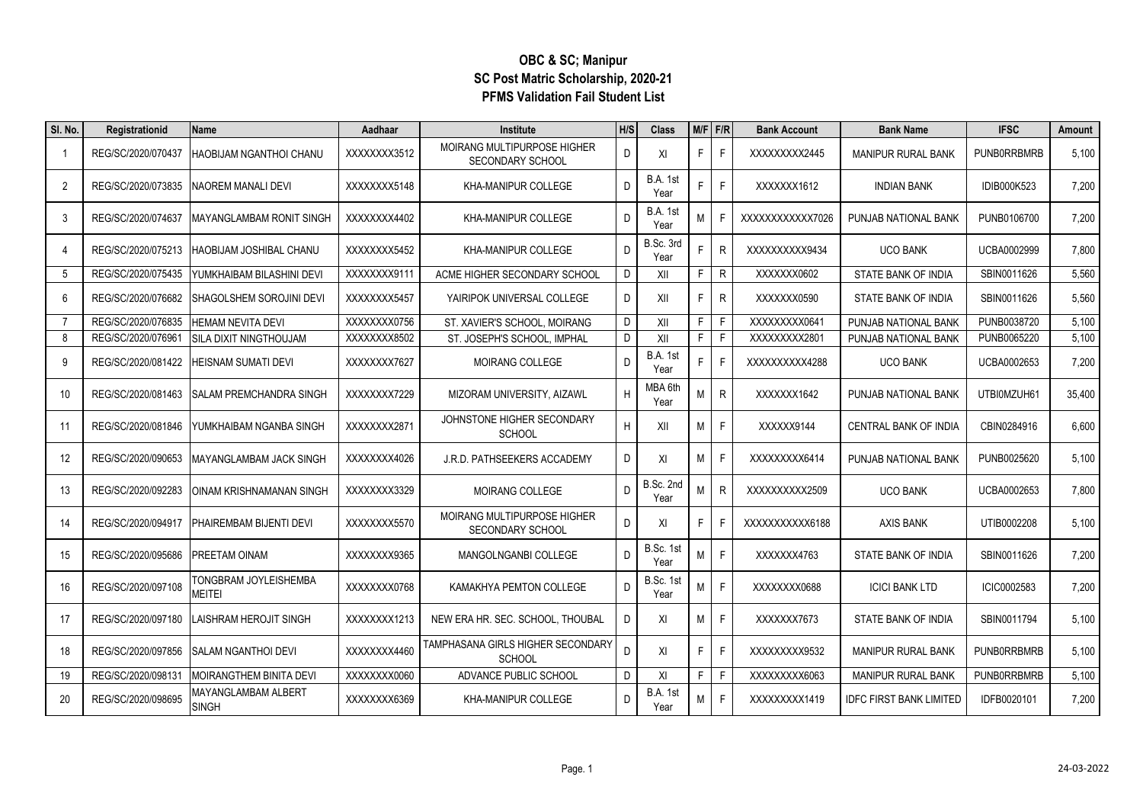## **OBC & SC; Manipur SC Post Matric Scholarship, 2020-21 PFMS Validation Fail Student List**

| SI. No.        | Registrationid     | Name                                | Aadhaar      | <b>Institute</b>                                       | H/S | <b>Class</b>            |    | $M/F$ F/R    | <b>Bank Account</b> | <b>Bank Name</b>               | <b>IFSC</b>        | Amount |
|----------------|--------------------|-------------------------------------|--------------|--------------------------------------------------------|-----|-------------------------|----|--------------|---------------------|--------------------------------|--------------------|--------|
| -1             | REG/SC/2020/070437 | HAOBIJAM NGANTHOI CHANU             | XXXXXXX3512  | MOIRANG MULTIPURPOSE HIGHER<br>SECONDARY SCHOOL        | D.  | XI                      | F. | F.           | XXXXXXXX2445        | <b>MANIPUR RURAL BANK</b>      | <b>PUNBORRBMRB</b> | 5,100  |
| $\overline{2}$ | REG/SC/2020/073835 | NAOREM MANALI DEVI                  | XXXXXXXX5148 | KHA-MANIPUR COLLEGE                                    | D.  | <b>B.A. 1st</b><br>Year |    | F            | XXXXXX1612          | <b>INDIAN BANK</b>             | IDIB000K523        | 7,200  |
| 3              | REG/SC/2020/074637 | MAYANGLAMBAM RONIT SINGH            | XXXXXXX4402  | KHA-MANIPUR COLLEGE                                    | D   | <b>B.A. 1st</b><br>Year | M  |              | XXXXXXXXXXX7026     | PUNJAB NATIONAL BANK           | PUNB0106700        | 7,200  |
| 4              | REG/SC/2020/075213 | HAOBIJAM JOSHIBAL CHANU             | XXXXXXXX5452 | <b>KHA-MANIPUR COLLEGE</b>                             | D.  | B.Sc. 3rd<br>Year       |    | R            | XXXXXXXXXX9434      | <b>UCO BANK</b>                | UCBA0002999        | 7,800  |
| 5              | REG/SC/2020/075435 | YUMKHAIBAM BILASHINI DEVI           | XXXXXXX9111  | ACME HIGHER SECONDARY SCHOOL                           | D   | XII                     | F  | $\mathsf R$  | XXXXXX0602          | STATE BANK OF INDIA            | SBIN0011626        | 5,560  |
| 6              | REG/SC/2020/076682 | SHAGOLSHEM SOROJINI DEVI            | XXXXXXX5457  | YAIRIPOK UNIVERSAL COLLEGE                             | D   | XII                     | F. | $\mathsf R$  | XXXXXX0590          | STATE BANK OF INDIA            | SBIN0011626        | 5,560  |
| 7              | REG/SC/2020/076835 | <b>HEMAM NEVITA DEVI</b>            | XXXXXXX0756  | ST. XAVIER'S SCHOOL, MOIRANG                           | D   | XII                     | F. | F            | XXXXXXXX0641        | PUNJAB NATIONAL BANK           | PUNB0038720        | 5,100  |
| 8              | REG/SC/2020/076961 | <b>SILA DIXIT NINGTHOUJAM</b>       | XXXXXXX8502  | ST. JOSEPH'S SCHOOL. IMPHAL                            | D.  | XII                     | F. | F.           | XXXXXXXX2801        | PUNJAB NATIONAL BANK           | PUNB0065220        | 5,100  |
| 9              | REG/SC/2020/081422 | HEISNAM SUMATI DEVI                 | XXXXXXXX7627 | <b>MOIRANG COLLEGE</b>                                 | D.  | <b>B.A. 1st</b><br>Year |    | F            | XXXXXXXXX4288       | <b>UCO BANK</b>                | UCBA0002653        | 7,200  |
| 10             | REG/SC/2020/081463 | SALAM PREMCHANDRA SINGH             | XXXXXXXX7229 | MIZORAM UNIVERSITY, AIZAWL                             | H   | MBA 6th<br>Year         | M  | $\mathsf{R}$ | XXXXXX1642          | PUNJAB NATIONAL BANK           | UTBI0MZUH61        | 35,400 |
| 11             | REG/SC/2020/081846 | YUMKHAIBAM NGANBA SINGH             | XXXXXXXX2871 | JOHNSTONE HIGHER SECONDARY<br><b>SCHOOL</b>            | H   | XII                     | M  | F.           | XXXXX9144           | <b>CENTRAL BANK OF INDIA</b>   | CBIN0284916        | 6,600  |
| 12             | REG/SC/2020/090653 | MAYANGLAMBAM JACK SINGH             | XXXXXXX4026  | J.R.D. PATHSEEKERS ACCADEMY                            | D   | XI                      | M  | F.           | XXXXXXXXX6414       | PUNJAB NATIONAL BANK           | PUNB0025620        | 5,100  |
| 13             | REG/SC/2020/092283 | OINAM KRISHNAMANAN SINGH            | XXXXXXX3329  | <b>MOIRANG COLLEGE</b>                                 | D   | B.Sc. 2nd<br>Year       | M  | R            | XXXXXXXXX2509       | <b>UCO BANK</b>                | UCBA0002653        | 7,800  |
| 14             | REG/SC/2020/094917 | PHAIREMBAM BIJENTI DEVI             | XXXXXXXX5570 | MOIRANG MULTIPURPOSE HIGHER<br><b>SECONDARY SCHOOL</b> | D   | XI                      | F  |              | XXXXXXXXXX6188      | AXIS BANK                      | UTIB0002208        | 5,100  |
| 15             | REG/SC/2020/095686 | PREETAM OINAM                       | XXXXXXXX9365 | <b>MANGOLNGANBI COLLEGE</b>                            | D.  | B.Sc. 1st<br>Year       | M  | F            | XXXXXX4763          | STATE BANK OF INDIA            | SBIN0011626        | 7,200  |
| 16             | REG/SC/2020/097108 | TONGBRAM JOYLEISHEMBA<br>MEITEI     | XXXXXXXX0768 | KAMAKHYA PEMTON COLLEGE                                | D.  | B.Sc. 1st<br>Year       | M  | F            | XXXXXXXX0688        | <b>ICICI BANK LTD</b>          | ICIC0002583        | 7,200  |
| 17             | REG/SC/2020/097180 | LAISHRAM HEROJIT SINGH              | XXXXXXX1213  | NEW ERA HR. SEC. SCHOOL, THOUBAL                       | D   | XI                      | M  | F.           | XXXXXX7673          | STATE BANK OF INDIA            | SBIN0011794        | 5,100  |
| 18             | REG/SC/2020/097856 | SALAM NGANTHOI DEVI                 | XXXXXXX4460  | TAMPHASANA GIRLS HIGHER SECONDARY<br><b>SCHOOL</b>     | D.  | XI                      | F. | F.           | XXXXXXXX9532        | <b>MANIPUR RURAL BANK</b>      | <b>PUNBORRBMRB</b> | 5,100  |
| 19             | REG/SC/2020/098131 | <b>MOIRANGTHEM BINITA DEVI</b>      | XXXXXXX0060  | ADVANCE PUBLIC SCHOOL                                  | D   | XI                      | F. | F.           | XXXXXXXX6063        | MANIPUR RURAL BANK             | <b>PUNBORRBMRB</b> | 5,100  |
| 20             | REG/SC/2020/098695 | MAYANGLAMBAM ALBERT<br><b>SINGH</b> | XXXXXXX6369  | KHA-MANIPUR COLLEGE                                    | D   | <b>B.A. 1st</b><br>Year | M  | F.           | XXXXXXXX1419        | <b>IDFC FIRST BANK LIMITED</b> | IDFB0020101        | 7,200  |